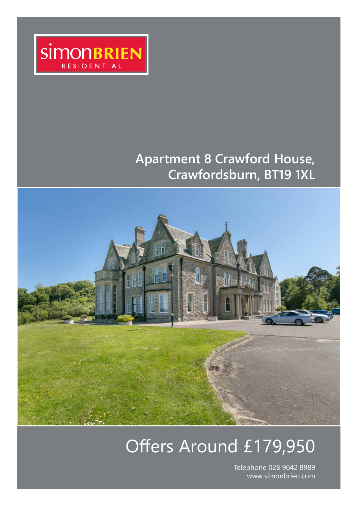

## **Apartment 8 Crawford House, Crawfordsburn, BT19 1XL**



# Offers Around £179,950

Telephone 028 9042 8989 www.simonbrien.com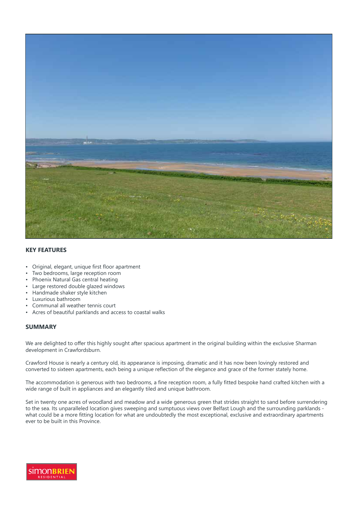

#### **KEY FEATURES**

- Original, elegant, unique first floor apartment
- Two bedrooms, large reception room
- Phoenix Natural Gas central heating
- Large restored double glazed windows
- Handmade shaker style kitchen
- Luxurious bathroom
- Communal all weather tennis court
- Acres of beautiful parklands and access to coastal walks

#### **SUMMARY**

We are delighted to offer this highly sought after spacious apartment in the original building within the exclusive Sharman development in Crawfordsburn.

Crawford House is nearly a century old, its appearance is imposing, dramatic and it has now been lovingly restored and converted to sixteen apartments, each being a unique reflection of the elegance and grace of the former stately home.

The accommodation is generous with two bedrooms, a fine reception room, a fully fitted bespoke hand crafted kitchen with a wide range of built in appliances and an elegantly tiled and unique bathroom.

Set in twenty one acres of woodland and meadow and a wide generous green that strides straight to sand before surrendering to the sea. Its unparalleled location gives sweeping and sumptuous views over Belfast Lough and the surrounding parklands what could be a more fitting location for what are undoubtedly the most exceptional, exclusive and extraordinary apartments ever to be built in this Province.

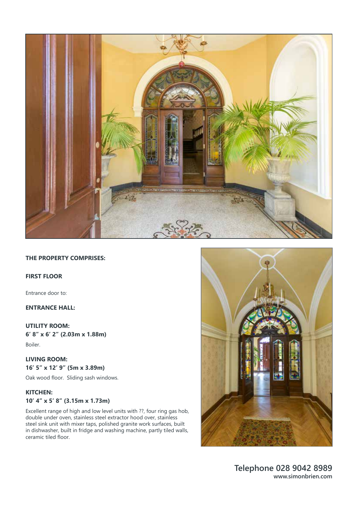

#### **THE PROPERTY COMPRISES:**

#### **FIRST FLOOR**

Entrance door to:

#### **ENTRANCE HALL:**

#### **UTILITY ROOM:**

**6' 8" x 6' 2" (2.03m x 1.88m)**  Boiler.

#### **LIVING ROOM: 16' 5" x 12' 9" (5m x 3.89m)**

Oak wood floor. Sliding sash windows.

#### **KITCHEN: 10' 4" x 5' 8" (3.15m x 1.73m)**

Excellent range of high and low level units with ??, four ring gas hob, double under oven, stainless steel extractor hood over, stainless steel sink unit with mixer taps, polished granite work surfaces, built in dishwasher, built in fridge and washing machine, partly tiled walls, ceramic tiled floor.

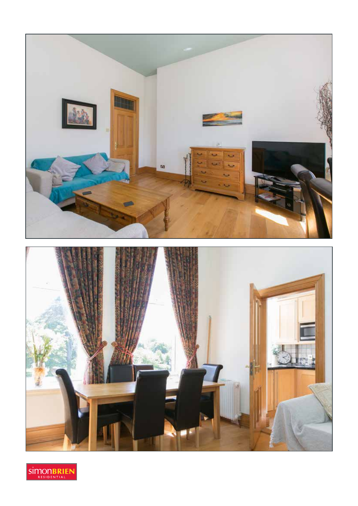

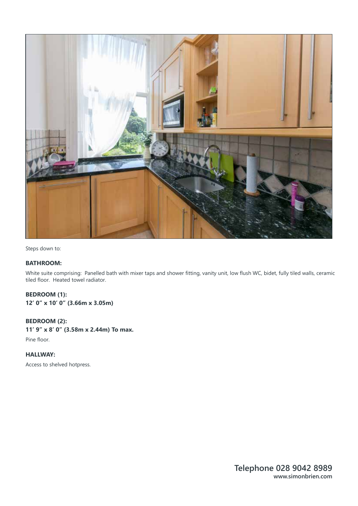

Steps down to:

#### **BATHROOM:**

White suite comprising: Panelled bath with mixer taps and shower fitting, vanity unit, low flush WC, bidet, fully tiled walls, ceramic tiled floor. Heated towel radiator.

#### **BEDROOM (1):**

**12' 0" x 10' 0" (3.66m x 3.05m)** 

#### **BEDROOM (2):**

**11' 9" x 8' 0" (3.58m x 2.44m) To max.**  Pine floor.

**HALLWAY:** 

Access to shelved hotpress.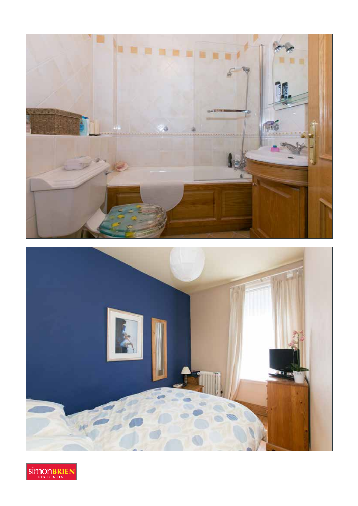



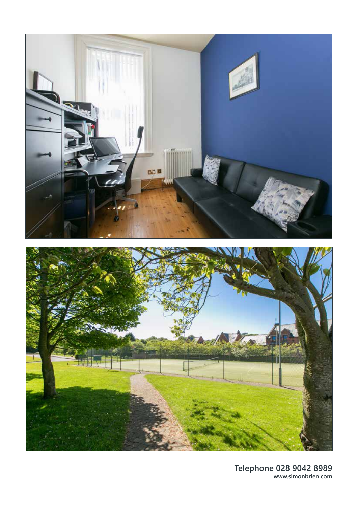

**Telephone 028 9042 8989 www.simonbrien.com**